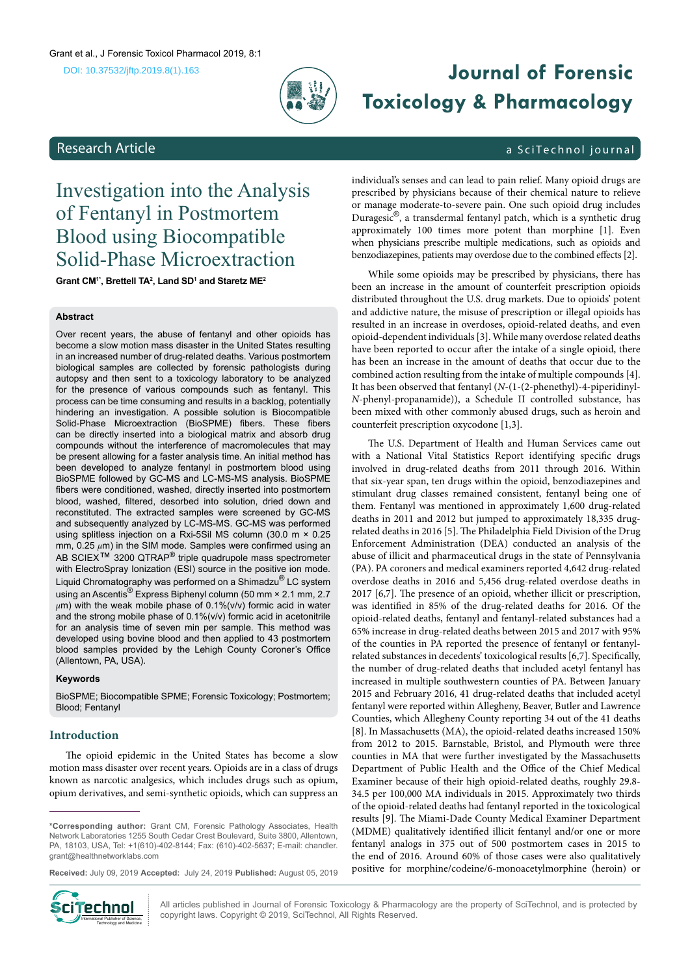

# **Journal of Forensic Toxicology & Pharmacology**

# <span id="page-0-0"></span>Research Article a Scittechnol journal

# Investigation into the Analysis of Fentanyl in Postmortem Blood using Biocompatible Solid-Phase Microextraction

**Grant CM1\*, Brettell TA2 , Land SD1 and Staretz ME2**

#### **Abstract**

Over recent years, the abuse of fentanyl and other opioids has become a slow motion mass disaster in the United States resulting in an increased number of drug-related deaths. Various postmortem biological samples are collected by forensic pathologists during autopsy and then sent to a toxicology laboratory to be analyzed for the presence of various compounds such as fentanyl. This process can be time consuming and results in a backlog, potentially hindering an investigation. A possible solution is Biocompatible Solid-Phase Microextraction (BioSPME) fibers. These fibers can be directly inserted into a biological matrix and absorb drug compounds without the interference of macromolecules that may be present allowing for a faster analysis time. An initial method has been developed to analyze fentanyl in postmortem blood using BioSPME followed by GC-MS and LC-MS-MS analysis. BioSPME fibers were conditioned, washed, directly inserted into postmortem blood, washed, filtered, desorbed into solution, dried down and reconstituted. The extracted samples were screened by GC-MS and subsequently analyzed by LC-MS-MS. GC-MS was performed using splitless injection on a Rxi-5Sil MS column (30.0 m × 0.25 mm, 0.25 *µ*m) in the SIM mode. Samples were confirmed using an AB SCIEX<sup>™</sup> 3200 QTRAP<sup>®</sup> triple quadrupole mass spectrometer with ElectroSpray Ionization (ESI) source in the positive ion mode. Liquid Chromatography was performed on a Shimadzu® LC system using an Ascentis® Express Biphenyl column (50 mm × 2.1 mm, 2.7 *µ*m) with the weak mobile phase of 0.1%(v/v) formic acid in water and the strong mobile phase of 0.1%(v/v) formic acid in acetonitrile for an analysis time of seven min per sample. This method was developed using bovine blood and then applied to 43 postmortem blood samples provided by the Lehigh County Coroner's Office (Allentown, PA, USA).

#### **Keywords**

BioSPME; Biocompatible SPME; Forensic Toxicology; Postmortem; Blood; Fentanyl

# **Introduction**

The opioid epidemic in the United States has become a slow motion mass disaster over recent years. Opioids are in a class of drugs known as narcotic analgesics, which includes drugs such as opium, opium derivatives, and semi-synthetic opioids, which can suppress an

**\*Corresponding author:** Grant CM, Forensic Pathology Associates, Health Network Laboratories 1255 South Cedar Crest Boulevard, Suite 3800, Allentown, PA, 18103, USA, Tel: +1(610)-402-8144; Fax: (610)-402-5637; E-mail: chandler. grant@healthnetworklabs.com

**Received:** July 09, 2019 **Accepted:** July 24, 2019 **Published:** August 05, 2019



All articles published in Journal of Forensic Toxicology & Pharmacology are the property of SciTechnol, and is protected by **Cinemann Copyright Laws. Copyright Institute Copyright International Published in Journal of Forensic Toxicology & Pharmac**<br>Copyright laws. Copyright © 2019, SciTechnol, All Rights Reserved.

individual's senses and can lead to pain relief. Many opioid drugs are prescribed by physicians because of their chemical nature to relieve or manage moderate-to-severe pain. One such opioid drug includes Duragesic®, a transdermal fentanyl patch, which is a synthetic drug approximately 100 times more potent than morphine [1]. Even when physicians prescribe multiple medications, such as opioids and benzodiazepines, patients may overdose due to the combined effects [2].

While some opioids may be prescribed by physicians, there has been an increase in the amount of counterfeit prescription opioids distributed throughout the U.S. drug markets. Due to opioids' potent and addictive nature, the misuse of prescription or illegal opioids has resulted in an increase in overdoses, opioid-related deaths, and even opioid-dependent individuals [3]. While many overdose related deaths have been reported to occur after the intake of a single opioid, there has been an increase in the amount of deaths that occur due to the combined action resulting from the intake of multiple compounds [4]. It has been observed that fentanyl (*N*-(1-(2-phenethyl)-4-piperidinyl-*N*-phenyl-propanamide)), a Schedule II controlled substance, has been mixed with other commonly abused drugs, such as heroin and counterfeit prescription oxycodone [1,3].

The U.S. Department of Health and Human Services came out with a National Vital Statistics Report identifying specific drugs involved in drug-related deaths from 2011 through 2016. Within that six-year span, ten drugs within the opioid, benzodiazepines and stimulant drug classes remained consistent, fentanyl being one of them. Fentanyl was mentioned in approximately 1,600 drug-related deaths in 2011 and 2012 but jumped to approximately 18,335 drugrelated deaths in 2016 [5]. The Philadelphia Field Division of the Drug Enforcement Administration (DEA) conducted an analysis of the abuse of illicit and pharmaceutical drugs in the state of Pennsylvania (PA). PA coroners and medical examiners reported 4,642 drug-related overdose deaths in 2016 and 5,456 drug-related overdose deaths in 2017 [6,7]. The presence of an opioid, whether illicit or prescription, was identified in 85% of the drug-related deaths for 2016. Of the opioid-related deaths, fentanyl and fentanyl-related substances had a 65% increase in drug-related deaths between 2015 and 2017 with 95% of the counties in PA reported the presence of fentanyl or fentanylrelated substances in decedents' toxicological results [6,7]. Specifically, the number of drug-related deaths that included acetyl fentanyl has increased in multiple southwestern counties of PA. Between January 2015 and February 2016, 41 drug-related deaths that included acetyl fentanyl were reported within Allegheny, Beaver, Butler and Lawrence Counties, which Allegheny County reporting 34 out of the 41 deaths [8]. In Massachusetts (MA), the opioid-related deaths increased 150% from 2012 to 2015. Barnstable, Bristol, and Plymouth were three counties in MA that were further investigated by the Massachusetts Department of Public Health and the Office of the Chief Medical Examiner because of their high opioid-related deaths, roughly 29.8- 34.5 per 100,000 MA individuals in 2015. Approximately two thirds of the opioid-related deaths had fentanyl reported in the toxicological results [9]. The Miami-Dade County Medical Examiner Department (MDME) qualitatively identified illicit fentanyl and/or one or more fentanyl analogs in 375 out of 500 postmortem cases in 2015 to the end of 2016. Around 60% of those cases were also qualitatively positive for morphine/codeine/6-monoacetylmorphine (heroin) or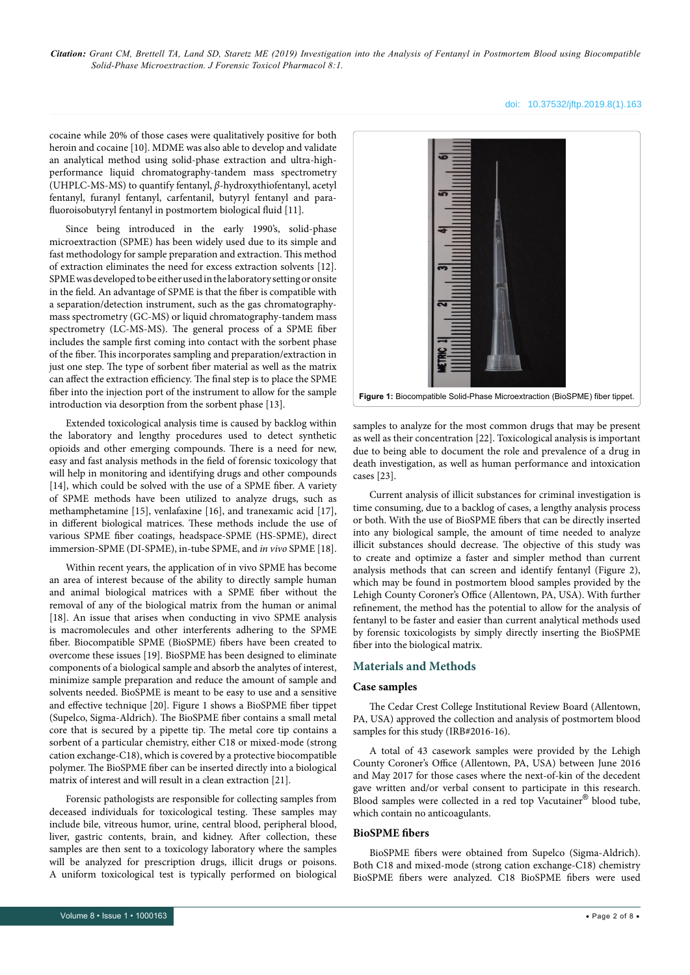#### doi: 10.37532/jftp.2019.8(1).163

cocaine while 20% of those cases were qualitatively positive for both heroin and cocaine [10]. MDME was also able to develop and validate an analytical method using solid-phase extraction and ultra-highperformance liquid chromatography-tandem mass spectrometry (UHPLC-MS-MS) to quantify fentanyl, *β*-hydroxythiofentanyl, acetyl fentanyl, furanyl fentanyl, carfentanil, butyryl fentanyl and parafluoroisobutyryl fentanyl in postmortem biological fluid [11].

Since being introduced in the early 1990's, solid-phase microextraction (SPME) has been widely used due to its simple and fast methodology for sample preparation and extraction. This method of extraction eliminates the need for excess extraction solvents [12]. SPME was developed to be either used in the laboratory setting or onsite in the field. An advantage of SPME is that the fiber is compatible with a separation/detection instrument, such as the gas chromatographymass spectrometry (GC-MS) or liquid chromatography-tandem mass spectrometry (LC-MS-MS). The general process of a SPME fiber includes the sample first coming into contact with the sorbent phase of the fiber. This incorporates sampling and preparation/extraction in just one step. The type of sorbent fiber material as well as the matrix can affect the extraction efficiency. The final step is to place the SPME fiber into the injection port of the instrument to allow for the sample introduction via desorption from the sorbent phase [13].

Extended toxicological analysis time is caused by backlog within the laboratory and lengthy procedures used to detect synthetic opioids and other emerging compounds. There is a need for new, easy and fast analysis methods in the field of forensic toxicology that will help in monitoring and identifying drugs and other compounds [14], which could be solved with the use of a SPME fiber. A variety of SPME methods have been utilized to analyze drugs, such as methamphetamine [15], venlafaxine [16], and tranexamic acid [17], in different biological matrices. These methods include the use of various SPME fiber coatings, headspace-SPME (HS-SPME), direct immersion-SPME (DI-SPME), in-tube SPME, and *in vivo* SPME [18].

Within recent years, the application of in vivo SPME has become an area of interest because of the ability to directly sample human and animal biological matrices with a SPME fiber without the removal of any of the biological matrix from the human or animal [18]. An issue that arises when conducting in vivo SPME analysis is macromolecules and other interferents adhering to the SPME fiber. Biocompatible SPME (BioSPME) fibers have been created to overcome these issues [19]. BioSPME has been designed to eliminate components of a biological sample and absorb the analytes of interest, minimize sample preparation and reduce the amount of sample and solvents needed. BioSPME is meant to be easy to use and a sensitive and effective technique [20]. Figure 1 shows a BioSPME fiber tippet (Supelco, Sigma-Aldrich). The BioSPME fiber contains a small metal core that is secured by a pipette tip. The metal core tip contains a sorbent of a particular chemistry, either C18 or mixed-mode (strong cation exchange-C18), which is covered by a protective biocompatible polymer. The BioSPME fiber can be inserted directly into a biological matrix of interest and will result in a clean extraction [21].

Forensic pathologists are responsible for collecting samples from deceased individuals for toxicological testing. These samples may include bile, vitreous humor, urine, central blood, peripheral blood, liver, gastric contents, brain, and kidney. After collection, these samples are then sent to a toxicology laboratory where the samples will be analyzed for prescription drugs, illicit drugs or poisons. A uniform toxicological test is typically performed on biological



**Figure 1:** Biocompatible Solid-Phase Microextraction (BioSPME) fiber tippet.

samples to analyze for the most common drugs that may be present as well as their concentration [22]. Toxicological analysis is important due to being able to document the role and prevalence of a drug in death investigation, as well as human performance and intoxication cases [23].

Current analysis of illicit substances for criminal investigation is time consuming, due to a backlog of cases, a lengthy analysis process or both. With the use of BioSPME fibers that can be directly inserted into any biological sample, the amount of time needed to analyze illicit substances should decrease. The objective of this study was to create and optimize a faster and simpler method than current analysis methods that can screen and identify fentanyl (Figure 2), which may be found in postmortem blood samples provided by the Lehigh County Coroner's Office (Allentown, PA, USA). With further refinement, the method has the potential to allow for the analysis of fentanyl to be faster and easier than current analytical methods used by forensic toxicologists by simply directly inserting the BioSPME fiber into the biological matrix.

# **Materials and Methods**

### **Case samples**

The Cedar Crest College Institutional Review Board (Allentown, PA, USA) approved the collection and analysis of postmortem blood samples for this study (IRB#2016-16).

A total of 43 casework samples were provided by the Lehigh County Coroner's Office (Allentown, PA, USA) between June 2016 and May 2017 for those cases where the next-of-kin of the decedent gave written and/or verbal consent to participate in this research. Blood samples were collected in a red top Vacutainer® blood tube, which contain no anticoagulants.

# **BioSPME fibers**

BioSPME fibers were obtained from Supelco (Sigma-Aldrich). Both C18 and mixed-mode (strong cation exchange-C18) chemistry BioSPME fibers were analyzed. C18 BioSPME fibers were used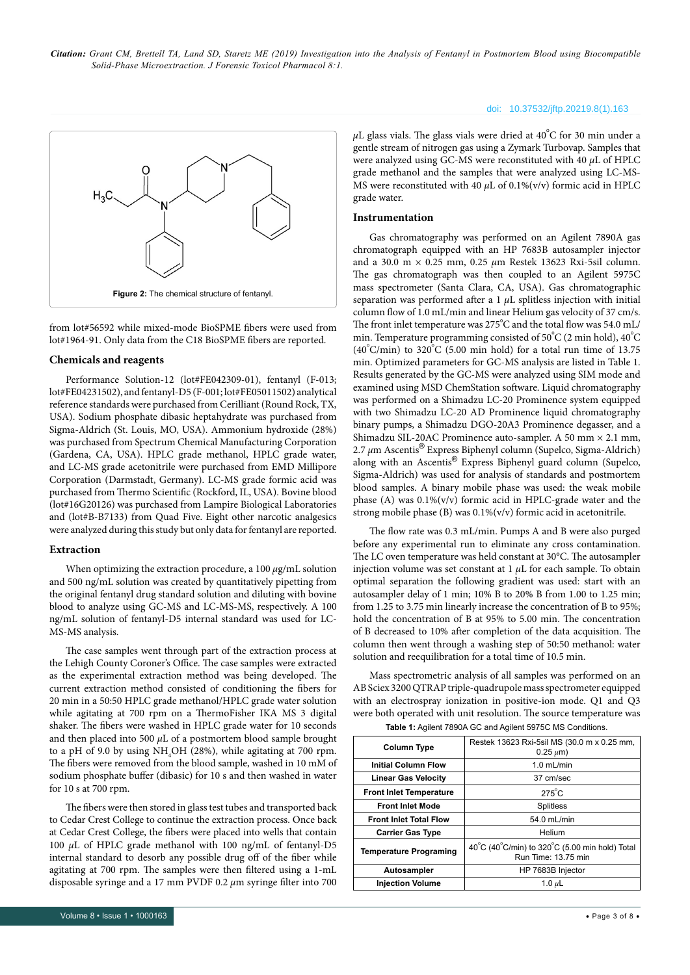

from lot#56592 while mixed-mode BioSPME fibers were used from lot#1964-91. Only data from the C18 BioSPME fibers are reported.

#### **Chemicals and reagents**

Performance Solution-12 (lot#FE042309-01), fentanyl (F-013; lot#FE04231502), and fentanyl-D5 (F-001; lot#FE05011502) analytical reference standards were purchased from Cerilliant (Round Rock, TX, USA). Sodium phosphate dibasic heptahydrate was purchased from Sigma-Aldrich (St. Louis, MO, USA). Ammonium hydroxide (28%) was purchased from Spectrum Chemical Manufacturing Corporation (Gardena, CA, USA). HPLC grade methanol, HPLC grade water, and LC-MS grade acetonitrile were purchased from EMD Millipore Corporation (Darmstadt, Germany). LC-MS grade formic acid was purchased from Thermo Scientific (Rockford, IL, USA). Bovine blood (lot#16G20126) was purchased from Lampire Biological Laboratories and (lot#B-B7133) from Quad Five. Eight other narcotic analgesics were analyzed during this study but only data for fentanyl are reported.

#### **Extraction**

When optimizing the extraction procedure, a 100 *µ*g/mL solution and 500 ng/mL solution was created by quantitatively pipetting from the original fentanyl drug standard solution and diluting with bovine blood to analyze using GC-MS and LC-MS-MS, respectively. A 100 ng/mL solution of fentanyl-D5 internal standard was used for LC-MS-MS analysis.

The case samples went through part of the extraction process at the Lehigh County Coroner's Office. The case samples were extracted as the experimental extraction method was being developed. The current extraction method consisted of conditioning the fibers for 20 min in a 50:50 HPLC grade methanol/HPLC grade water solution while agitating at 700 rpm on a ThermoFisher IKA MS 3 digital shaker. The fibers were washed in HPLC grade water for 10 seconds and then placed into 500 *µ*L of a postmortem blood sample brought to a pH of 9.0 by using  $NH<sub>4</sub>OH$  (28%), while agitating at 700 rpm. The fibers were removed from the blood sample, washed in 10 mM of sodium phosphate buffer (dibasic) for 10 s and then washed in water for 10 s at 700 rpm.

The fibers were then stored in glass test tubes and transported back to Cedar Crest College to continue the extraction process. Once back at Cedar Crest College, the fibers were placed into wells that contain 100 *µ*L of HPLC grade methanol with 100 ng/mL of fentanyl-D5 internal standard to desorb any possible drug off of the fiber while agitating at 700 rpm. The samples were then filtered using a 1-mL disposable syringe and a 17 mm PVDF 0.2 *µ*m syringe filter into 700

#### doi: 10.37532/jftp.20219.8(1).163

 $\mu$ L glass vials. The glass vials were dried at 40°C for 30 min under a gentle stream of nitrogen gas using a Zymark Turbovap. Samples that were analyzed using GC-MS were reconstituted with 40 *µ*L of HPLC grade methanol and the samples that were analyzed using LC-MS-MS were reconstituted with 40  $\mu$ L of 0.1%(v/v) formic acid in HPLC grade water.

#### **Instrumentation**

Gas chromatography was performed on an Agilent 7890A gas chromatograph equipped with an HP 7683B autosampler injector and a 30.0 m × 0.25 mm, 0.25 *µ*m Restek 13623 Rxi-5sil column. The gas chromatograph was then coupled to an Agilent 5975C mass spectrometer (Santa Clara, CA, USA). Gas chromatographic separation was performed after a 1  $\mu$ L splitless injection with initial column flow of 1.0 mL/min and linear Helium gas velocity of 37 cm/s. The front inlet temperature was 275°C and the total flow was 54.0 mL/ min. Temperature programming consisted of  $50^{\circ}$ C (2 min hold),  $40^{\circ}$ C (40 $^{\circ}$ C/min) to 320 $^{\circ}$ C (5.00 min hold) for a total run time of 13.75 min. Optimized parameters for GC-MS analysis are listed in Table 1. Results generated by the GC-MS were analyzed using SIM mode and examined using MSD ChemStation software. Liquid chromatography was performed on a Shimadzu LC-20 Prominence system equipped with two Shimadzu LC-20 AD Prominence liquid chromatography binary pumps, a Shimadzu DGO-20A3 Prominence degasser, and a Shimadzu SIL-20AC Prominence auto-sampler. A 50 mm × 2.1 mm, 2.7 *µ*m Ascentis® Express Biphenyl column (Supelco, Sigma-Aldrich) along with an Ascentis® Express Biphenyl guard column (Supelco, Sigma-Aldrich) was used for analysis of standards and postmortem blood samples. A binary mobile phase was used: the weak mobile phase (A) was 0.1%(v/v) formic acid in HPLC-grade water and the strong mobile phase (B) was 0.1%(v/v) formic acid in acetonitrile.

The flow rate was 0.3 mL/min. Pumps A and B were also purged before any experimental run to eliminate any cross contamination. The LC oven temperature was held constant at 30°C. The autosampler injection volume was set constant at 1 *µ*L for each sample. To obtain optimal separation the following gradient was used: start with an autosampler delay of 1 min; 10% B to 20% B from 1.00 to 1.25 min; from 1.25 to 3.75 min linearly increase the concentration of B to 95%; hold the concentration of B at 95% to 5.00 min. The concentration of B decreased to 10% after completion of the data acquisition. The column then went through a washing step of 50:50 methanol: water solution and reequilibration for a total time of 10.5 min.

Mass spectrometric analysis of all samples was performed on an AB Sciex 3200 QTRAP triple-quadrupole mass spectrometer equipped with an electrospray ionization in positive-ion mode. Q1 and Q3 were both operated with unit resolution. The source temperature was **Table 1:** Agilent 7890A GC and Agilent 5975C MS Conditions.

| <b>Column Type</b>             | Restek 13623 Rxi-5sil MS (30.0 m x 0.25 mm,<br>$0.25 \mu m$ )         |  |  |
|--------------------------------|-----------------------------------------------------------------------|--|--|
| <b>Initial Column Flow</b>     | $1.0$ mL/min                                                          |  |  |
| <b>Linear Gas Velocity</b>     | 37 cm/sec                                                             |  |  |
| <b>Front Inlet Temperature</b> | $275^\circ C$                                                         |  |  |
| <b>Front Inlet Mode</b>        | Splitless                                                             |  |  |
| <b>Front Inlet Total Flow</b>  | 54.0 mL/min                                                           |  |  |
| <b>Carrier Gas Type</b>        | Helium                                                                |  |  |
| <b>Temperature Programing</b>  | 40°C (40°C/min) to 320°C (5.00 min hold) Total<br>Run Time: 13.75 min |  |  |
| Autosampler                    | HP 7683B Injector                                                     |  |  |
| <b>Injection Volume</b>        | 1.0 $\mu$ L                                                           |  |  |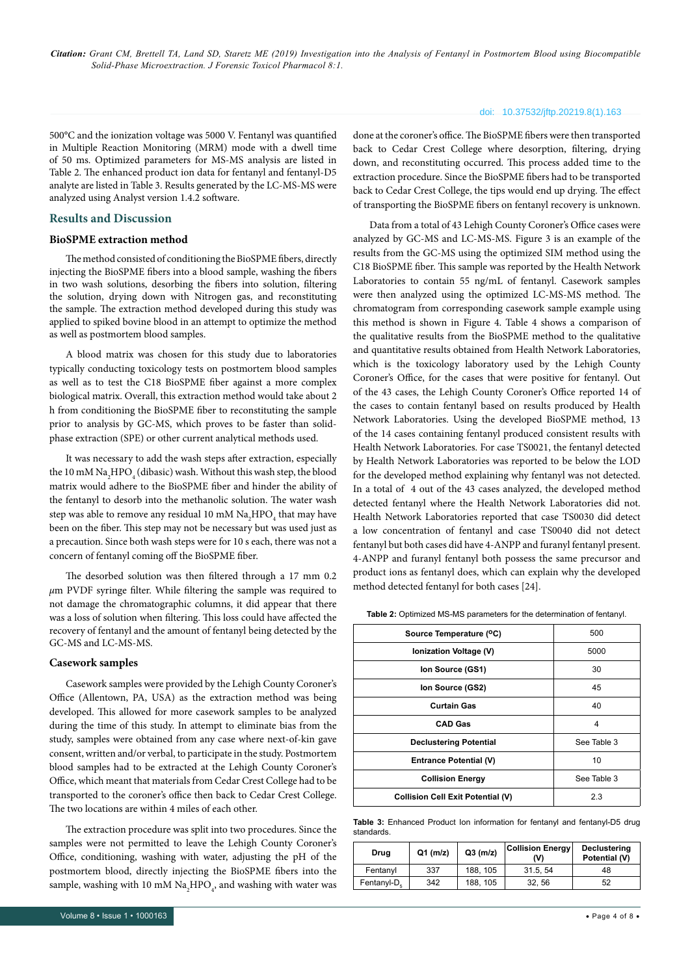#### doi: 10.37532/jftp.20219.8(1).163

500°C and the ionization voltage was 5000 V. Fentanyl was quantified in Multiple Reaction Monitoring (MRM) mode with a dwell time of 50 ms. Optimized parameters for MS-MS analysis are listed in Table 2. The enhanced product ion data for fentanyl and fentanyl-D5 analyte are listed in Table 3. Results generated by the LC-MS-MS were analyzed using Analyst version 1.4.2 software.

#### **Results and Discussion**

#### **BioSPME extraction method**

The method consisted of conditioning the BioSPME fibers, directly injecting the BioSPME fibers into a blood sample, washing the fibers in two wash solutions, desorbing the fibers into solution, filtering the solution, drying down with Nitrogen gas, and reconstituting the sample. The extraction method developed during this study was applied to spiked bovine blood in an attempt to optimize the method as well as postmortem blood samples.

A blood matrix was chosen for this study due to laboratories typically conducting toxicology tests on postmortem blood samples as well as to test the C18 BioSPME fiber against a more complex biological matrix. Overall, this extraction method would take about 2 h from conditioning the BioSPME fiber to reconstituting the sample prior to analysis by GC-MS, which proves to be faster than solidphase extraction (SPE) or other current analytical methods used.

It was necessary to add the wash steps after extraction, especially the 10 mM  $\rm Na_{2}HPO_{4}$  (dibasic) wash. Without this wash step, the blood matrix would adhere to the BioSPME fiber and hinder the ability of the fentanyl to desorb into the methanolic solution. The water wash step was able to remove any residual 10 mM  $\rm Na_{2}HPO_{4}$  that may have been on the fiber. This step may not be necessary but was used just as a precaution. Since both wash steps were for 10 s each, there was not a concern of fentanyl coming off the BioSPME fiber.

The desorbed solution was then filtered through a 17 mm 0.2 *µ*m PVDF syringe filter. While filtering the sample was required to not damage the chromatographic columns, it did appear that there was a loss of solution when filtering. This loss could have affected the recovery of fentanyl and the amount of fentanyl being detected by the GC-MS and LC-MS-MS.

#### **Casework samples**

Casework samples were provided by the Lehigh County Coroner's Office (Allentown, PA, USA) as the extraction method was being developed. This allowed for more casework samples to be analyzed during the time of this study. In attempt to eliminate bias from the study, samples were obtained from any case where next-of-kin gave consent, written and/or verbal, to participate in the study. Postmortem blood samples had to be extracted at the Lehigh County Coroner's Office, which meant that materials from Cedar Crest College had to be transported to the coroner's office then back to Cedar Crest College. The two locations are within 4 miles of each other.

The extraction procedure was split into two procedures. Since the samples were not permitted to leave the Lehigh County Coroner's Office, conditioning, washing with water, adjusting the pH of the postmortem blood, directly injecting the BioSPME fibers into the sample, washing with 10 mM  $\text{Na}_{\text{2}}\text{HPO}_{\text{4}}$ , and washing with water was

done at the coroner's office. The BioSPME fibers were then transported back to Cedar Crest College where desorption, filtering, drying down, and reconstituting occurred. This process added time to the extraction procedure. Since the BioSPME fibers had to be transported back to Cedar Crest College, the tips would end up drying. The effect of transporting the BioSPME fibers on fentanyl recovery is unknown.

Data from a total of 43 Lehigh County Coroner's Office cases were analyzed by GC-MS and LC-MS-MS. Figure 3 is an example of the results from the GC-MS using the optimized SIM method using the C18 BioSPME fiber. This sample was reported by the Health Network Laboratories to contain 55 ng/mL of fentanyl. Casework samples were then analyzed using the optimized LC-MS-MS method. The chromatogram from corresponding casework sample example using this method is shown in Figure 4. Table 4 shows a comparison of the qualitative results from the BioSPME method to the qualitative and quantitative results obtained from Health Network Laboratories, which is the toxicology laboratory used by the Lehigh County Coroner's Office, for the cases that were positive for fentanyl. Out of the 43 cases, the Lehigh County Coroner's Office reported 14 of the cases to contain fentanyl based on results produced by Health Network Laboratories. Using the developed BioSPME method, 13 of the 14 cases containing fentanyl produced consistent results with Health Network Laboratories. For case TS0021, the fentanyl detected by Health Network Laboratories was reported to be below the LOD for the developed method explaining why fentanyl was not detected. In a total of 4 out of the 43 cases analyzed, the developed method detected fentanyl where the Health Network Laboratories did not. Health Network Laboratories reported that case TS0030 did detect a low concentration of fentanyl and case TS0040 did not detect fentanyl but both cases did have 4-ANPP and furanyl fentanyl present. 4-ANPP and furanyl fentanyl both possess the same precursor and product ions as fentanyl does, which can explain why the developed method detected fentanyl for both cases [24].

**Table 2:** Optimized MS-MS parameters for the determination of fentanyl.

| Source Temperature (°C)                  | 500         |
|------------------------------------------|-------------|
| Ionization Voltage (V)                   | 5000        |
| Ion Source (GS1)                         | 30          |
| Ion Source (GS2)                         | 45          |
| <b>Curtain Gas</b>                       | 40          |
| <b>CAD Gas</b>                           | 4           |
| <b>Declustering Potential</b>            | See Table 3 |
| Entrance Potential (V)                   | 10          |
| <b>Collision Energy</b>                  | See Table 3 |
| <b>Collision Cell Exit Potential (V)</b> | 2.3         |

**Table 3:** Enhanced Product Ion information for fentanyl and fentanyl-D5 drug standards.

| Drug                    | $Q1$ (m/z) | $Q3$ (m/z) | <b>Collision Energy</b><br>W١ | <b>Declustering</b><br>Potential (V) |
|-------------------------|------------|------------|-------------------------------|--------------------------------------|
| Fentanyl                | 337        | 188, 105   | 31.5, 54                      | 48                                   |
| Fentanyl-D <sub>r</sub> | 342        | 188, 105   | 32.56                         | 52                                   |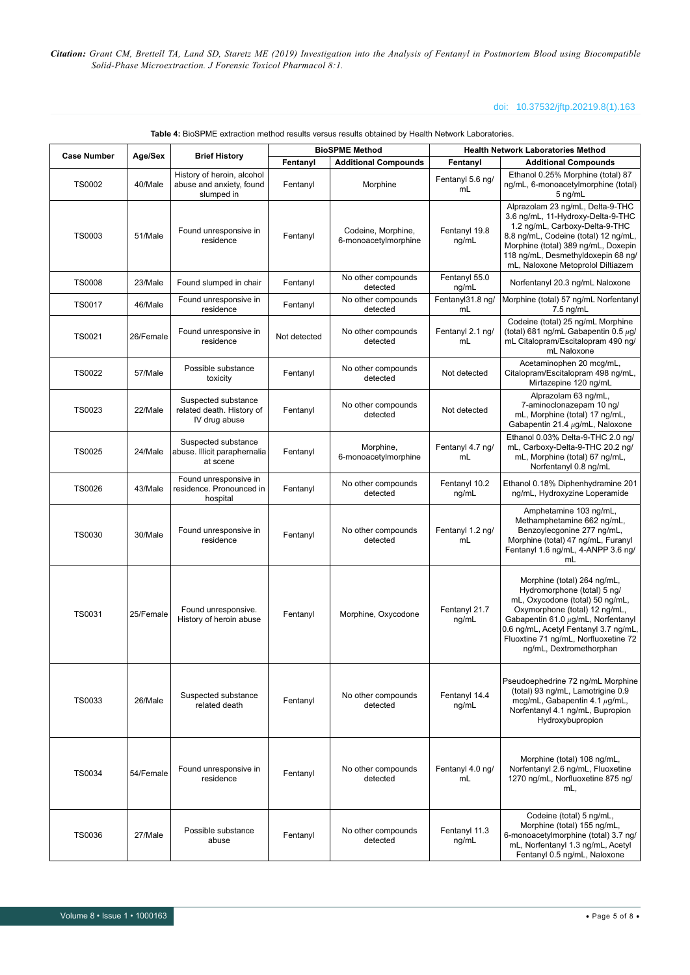# doi: 10.37532/jftp.20219.8(1).163

|                    |           |                                                                      | <b>BioSPME Method</b> |                                            | <b>Health Network Laboratories Method</b> |                                                                                                                                                                                                                                                                                  |  |
|--------------------|-----------|----------------------------------------------------------------------|-----------------------|--------------------------------------------|-------------------------------------------|----------------------------------------------------------------------------------------------------------------------------------------------------------------------------------------------------------------------------------------------------------------------------------|--|
| <b>Case Number</b> | Age/Sex   | <b>Brief History</b>                                                 | Fentanyl              | <b>Additional Compounds</b>                | Fentanyl                                  | <b>Additional Compounds</b>                                                                                                                                                                                                                                                      |  |
| <b>TS0002</b>      | 40/Male   | History of heroin, alcohol<br>abuse and anxiety, found<br>slumped in | Fentanyl              | Morphine                                   | Fentanyl 5.6 ng/<br>mL                    | Ethanol 0.25% Morphine (total) 87<br>ng/mL, 6-monoacetylmorphine (total)<br>5 ng/mL                                                                                                                                                                                              |  |
| <b>TS0003</b>      | 51/Male   | Found unresponsive in<br>residence                                   | Fentanyl              | Codeine, Morphine,<br>6-monoacetylmorphine | Fentanyl 19.8<br>ng/mL                    | Alprazolam 23 ng/mL, Delta-9-THC<br>3.6 ng/mL, 11-Hydroxy-Delta-9-THC<br>1.2 ng/mL, Carboxy-Delta-9-THC<br>8.8 ng/mL, Codeine (total) 12 ng/mL,<br>Morphine (total) 389 ng/mL, Doxepin<br>118 ng/mL, Desmethyldoxepin 68 ng/<br>mL, Naloxone Metoprolol Diltiazem                |  |
| <b>TS0008</b>      | 23/Male   | Found slumped in chair                                               | Fentanyl              | No other compounds<br>detected             | Fentanyl 55.0<br>ng/mL                    | Norfentanyl 20.3 ng/mL Naloxone                                                                                                                                                                                                                                                  |  |
| <b>TS0017</b>      | 46/Male   | Found unresponsive in<br>residence                                   | Fentanyl              | No other compounds<br>detected             | Fentanyl31.8 ng/<br>mL                    | Morphine (total) 57 ng/mL Norfentanyl<br>7.5 ng/mL                                                                                                                                                                                                                               |  |
| <b>TS0021</b>      | 26/Female | Found unresponsive in<br>residence                                   | Not detected          | No other compounds<br>detected             | Fentanyl 2.1 ng/<br>mL                    | Codeine (total) 25 ng/mL Morphine<br>(total) 681 ng/mL Gabapentin 0.5 $\mu$ g/<br>mL Citalopram/Escitalopram 490 ng/<br>mL Naloxone                                                                                                                                              |  |
| <b>TS0022</b>      | 57/Male   | Possible substance<br>toxicity                                       | Fentanyl              | No other compounds<br>detected             | Not detected                              | Acetaminophen 20 mcg/mL,<br>Citalopram/Escitalopram 498 ng/mL,<br>Mirtazepine 120 ng/mL                                                                                                                                                                                          |  |
| TS0023             | 22/Male   | Suspected substance<br>related death. History of<br>IV drug abuse    | Fentanyl              | No other compounds<br>detected             | Not detected                              | Alprazolam 63 ng/mL,<br>7-aminoclonazepam 10 ng/<br>mL, Morphine (total) 17 ng/mL,<br>Gabapentin 21.4 µg/mL, Naloxone                                                                                                                                                            |  |
| <b>TS0025</b>      | 24/Male   | Suspected substance<br>abuse. Illicit paraphernalia<br>at scene      | Fentanyl              | Morphine,<br>6-monoacetylmorphine          | Fentanyl 4.7 ng/<br>mL                    | Ethanol 0.03% Delta-9-THC 2.0 ng/<br>mL, Carboxy-Delta-9-THC 20.2 nq/<br>mL, Morphine (total) 67 ng/mL,<br>Norfentanyl 0.8 ng/mL                                                                                                                                                 |  |
| <b>TS0026</b>      | 43/Male   | Found unresponsive in<br>residence. Pronounced in<br>hospital        | Fentanyl              | No other compounds<br>detected             | Fentanyl 10.2<br>ng/mL                    | Ethanol 0.18% Diphenhydramine 201<br>ng/mL, Hydroxyzine Loperamide                                                                                                                                                                                                               |  |
| <b>TS0030</b>      | 30/Male   | Found unresponsive in<br>residence                                   | Fentanyl              | No other compounds<br>detected             | Fentanyl 1.2 ng/<br>mL                    | Amphetamine 103 ng/mL,<br>Methamphetamine 662 ng/mL,<br>Benzoylecgonine 277 ng/mL,<br>Morphine (total) 47 ng/mL, Furanyl<br>Fentanyl 1.6 ng/mL, 4-ANPP 3.6 ng/<br>mL                                                                                                             |  |
| TS0031             | 25/Female | Found unresponsive.<br>History of heroin abuse                       | Fentanyl              | Morphine, Oxycodone                        | Fentanyl 21.7<br>ng/mL                    | Morphine (total) 264 ng/mL,<br>Hydromorphone (total) 5 ng/<br>mL, Oxycodone (total) 50 ng/mL,<br>Oxymorphone (total) 12 ng/mL,<br>Gabapentin 61.0 µg/mL, Norfentanyl<br>0.6 ng/mL, Acetyl Fentanyl 3.7 ng/mL,<br>Fluoxtine 71 ng/mL, Norfluoxetine 72<br>ng/mL, Dextromethorphan |  |
| TS0033             | 26/Male   | Suspected substance<br>related death                                 | Fentanyl              | No other compounds<br>detected             | Fentanyl 14.4<br>ng/mL                    | Pseudoephedrine 72 ng/mL Morphine<br>(total) 93 ng/mL, Lamotrigine 0.9<br>mcq/mL, Gabapentin 4.1 $\mu$ q/mL,<br>Norfentanyl 4.1 ng/mL, Bupropion<br>Hydroxybupropion                                                                                                             |  |
| <b>TS0034</b>      | 54/Female | Found unresponsive in<br>residence                                   | Fentanyl              | No other compounds<br>detected             | Fentanyl 4.0 ng/<br>mL                    | Morphine (total) 108 ng/mL,<br>Norfentanyl 2.6 ng/mL, Fluoxetine<br>1270 ng/mL, Norfluoxetine 875 ng/<br>mL,                                                                                                                                                                     |  |
| TS0036             | 27/Male   | Possible substance<br>abuse                                          | Fentanyl              | No other compounds<br>detected             | Fentanyl 11.3<br>ng/mL                    | Codeine (total) 5 ng/mL,<br>Morphine (total) 155 ng/mL,<br>6-monoacetylmorphine (total) 3.7 ng/<br>mL, Norfentanyl 1.3 ng/mL, Acetyl<br>Fentanyl 0.5 ng/mL, Naloxone                                                                                                             |  |

**Table 4:** BioSPME extraction method results versus results obtained by Health Network Laboratories.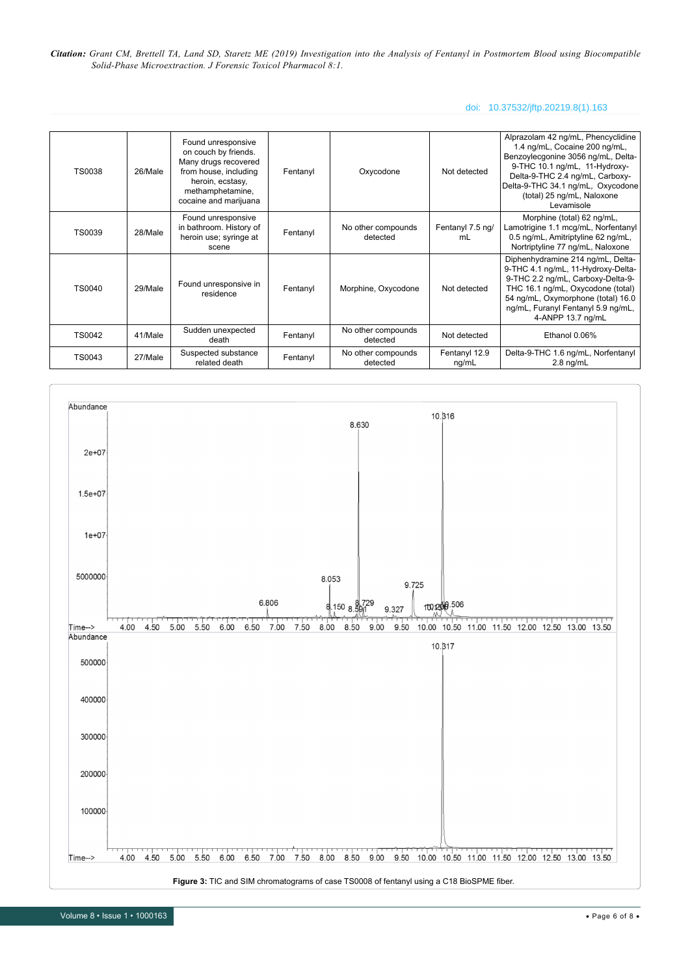# doi: 10.37532/jftp.20219.8(1).163

| <b>TS0038</b> | 26/Male | Found unresponsive<br>on couch by friends.<br>Many drugs recovered<br>from house, including<br>heroin, ecstasy,<br>methamphetamine,<br>cocaine and marijuana | Fentanyl | Oxycodone                      | Not detected           | Alprazolam 42 ng/mL, Phencyclidine<br>1.4 ng/mL, Cocaine 200 ng/mL,<br>Benzoylecgonine 3056 ng/mL, Delta-<br>9-THC 10.1 ng/mL, 11-Hydroxy-<br>Delta-9-THC 2.4 ng/mL, Carboxy-<br>Delta-9-THC 34.1 ng/mL, Oxycodone<br>(total) 25 ng/mL, Naloxone<br>Levamisole |
|---------------|---------|--------------------------------------------------------------------------------------------------------------------------------------------------------------|----------|--------------------------------|------------------------|----------------------------------------------------------------------------------------------------------------------------------------------------------------------------------------------------------------------------------------------------------------|
| <b>TS0039</b> | 28/Male | Found unresponsive<br>in bathroom. History of<br>heroin use; syringe at<br>scene                                                                             | Fentanyl | No other compounds<br>detected | Fentanyl 7.5 ng/<br>mL | Morphine (total) 62 ng/mL,<br>Lamotrigine 1.1 mcg/mL, Norfentanyl<br>0.5 ng/mL, Amitriptyline 62 ng/mL,<br>Nortriptyline 77 ng/mL, Naloxone                                                                                                                    |
| <b>TS0040</b> | 29/Male | Found unresponsive in<br>residence                                                                                                                           | Fentanyl | Morphine, Oxycodone            | Not detected           | Diphenhydramine 214 ng/mL, Delta-<br>9-THC 4.1 ng/mL, 11-Hydroxy-Delta-<br>9-THC 2.2 ng/mL, Carboxy-Delta-9-<br>THC 16.1 ng/mL, Oxycodone (total)<br>54 ng/mL, Oxymorphone (total) 16.0<br>ng/mL, Furanyl Fentanyl 5.9 ng/mL,<br>4-ANPP 13.7 ng/mL             |
| <b>TS0042</b> | 41/Male | Sudden unexpected<br>death                                                                                                                                   | Fentanyl | No other compounds<br>detected | Not detected           | Ethanol 0.06%                                                                                                                                                                                                                                                  |
| TS0043        | 27/Male | Suspected substance<br>related death                                                                                                                         | Fentanyl | No other compounds<br>detected | Fentanyl 12.9<br>ng/mL | Delta-9-THC 1.6 ng/mL, Norfentanyl<br>$2.8$ ng/mL                                                                                                                                                                                                              |



Volume 8 • Issue 1 • 1000163 • Page 6 of 8 •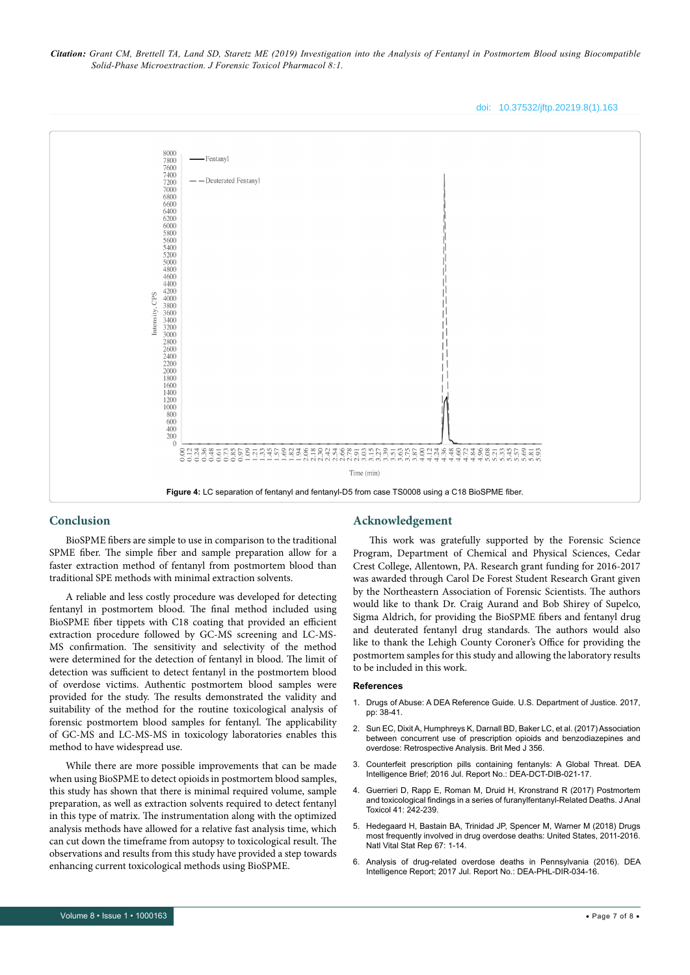doi: 10.37532/jftp.20219.8(1).163



# **Conclusion**

BioSPME fibers are simple to use in comparison to the traditional SPME fiber. The simple fiber and sample preparation allow for a faster extraction method of fentanyl from postmortem blood than traditional SPE methods with minimal extraction solvents.

A reliable and less costly procedure was developed for detecting fentanyl in postmortem blood. The final method included using BioSPME fiber tippets with C18 coating that provided an efficient extraction procedure followed by GC-MS screening and LC-MS-MS confirmation. The sensitivity and selectivity of the method were determined for the detection of fentanyl in blood. The limit of detection was sufficient to detect fentanyl in the postmortem blood of overdose victims. Authentic postmortem blood samples were provided for the study. The results demonstrated the validity and suitability of the method for the routine toxicological analysis of forensic postmortem blood samples for fentanyl. The applicability of GC-MS and LC-MS-MS in toxicology laboratories enables this method to have widespread use.

While there are more possible improvements that can be made when using BioSPME to detect opioids in postmortem blood samples, this study has shown that there is minimal required volume, sample preparation, as well as extraction solvents required to detect fentanyl in this type of matrix. The instrumentation along with the optimized analysis methods have allowed for a relative fast analysis time, which can cut down the timeframe from autopsy to toxicological result. The observations and results from this study have provided a step towards enhancing current toxicological methods using BioSPME.

### **Acknowledgement**

This work was gratefully supported by the Forensic Science Program, Department of Chemical and Physical Sciences, Cedar Crest College, Allentown, PA. Research grant funding for 2016-2017 was awarded through Carol De Forest Student Research Grant given by the Northeastern Association of Forensic Scientists. The authors would like to thank Dr. Craig Aurand and Bob Shirey of Supelco, Sigma Aldrich, for providing the BioSPME fibers and fentanyl drug and deuterated fentanyl drug standards. The authors would also like to thank the Lehigh County Coroner's Office for providing the postmortem samples for this study and allowing the laboratory results to be included in this work.

#### **References**

- 1. [Drugs of Abuse: A DEA Reference Guide. U.S. Department of Justice. 2017,](https://www.dea.gov/sites/default/files/drug_of_abuse.pdf)  [pp: 38-41.](https://www.dea.gov/sites/default/files/drug_of_abuse.pdf)
- 2. [Sun EC, Dixit A, Humphreys K, Darnall BD, Baker LC, et al. \(2017\) Association](https://www.bmj.com/content/356/bmj.j760)  [between concurrent use of prescription opioids and benzodiazepines and](https://www.bmj.com/content/356/bmj.j760)  [overdose: Retrospective Analysis. Brit Med J 356.](https://www.bmj.com/content/356/bmj.j760)
- 3. [Counterfeit prescription pills containing fentanyls: A Global Threat. DEA](https://www.dea.gov/sites/default/files/docs/Counterfeit%2520Prescription%2520Pills.pdf)  [Intelligence Brief; 2016 Jul. Report No.: DEA-DCT-DIB-021-17.](https://www.dea.gov/sites/default/files/docs/Counterfeit%2520Prescription%2520Pills.pdf)
- 4. [Guerrieri D, Rapp E, Roman M, Druid H, Kronstrand R \(2017\) Postmortem](https://academic.oup.com/jat/article/41/3/242/2911914)  [and toxicological findings in a series of furanylfentanyl-Related Deaths. J Anal](https://academic.oup.com/jat/article/41/3/242/2911914)  [Toxicol 41: 242-239.](https://academic.oup.com/jat/article/41/3/242/2911914)
- 5. Hedegaard H, Bastain BA, Trinidad JP, Spencer M, Warner M (2018) Drugs most frequently involved in drug overdose deaths: United States, 2011-2016. Natl Vital Stat Rep 67: 1-14.
- 6. [Analysis of drug-related overdose deaths in Pennsylvania \(2016\). DEA](https://www.overdosefreepa.pitt.edu/wp-content/uploads/2017/07/DEA-Analysis-of-Overdose-Deaths-in-Pennsylvania-2016.pd_-1.pdf)  [Intelligence Report; 2017 Jul. Report No.: DEA-PHL-DIR-034-16](https://www.overdosefreepa.pitt.edu/wp-content/uploads/2017/07/DEA-Analysis-of-Overdose-Deaths-in-Pennsylvania-2016.pd_-1.pdf).